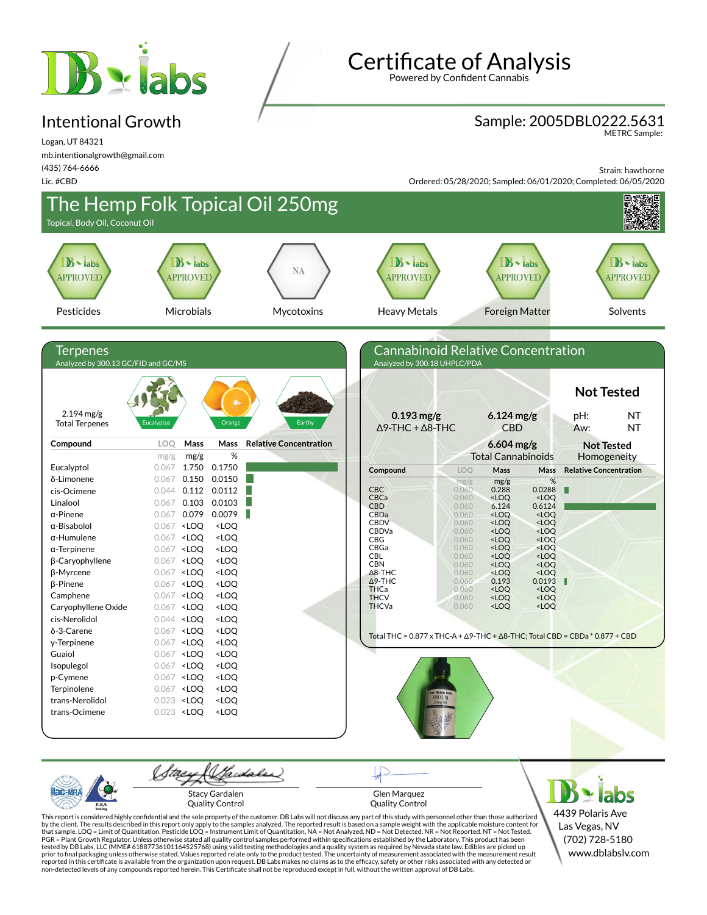

#### Intentional Growth

Logan, UT 84321 mb.intentionalgrowth@gmail.com (435) 764-6666

Lic. #CBD

**Certificate of Analysis** 

Powered by Confident Cannabis

### Sample: 2005DBL0222.5631

METRC Sample:

Strain: hawthorne

Ordered: 05/28/2020; Sampled: 06/01/2020; Completed: 06/05/2020



Stacy Gardalen Quality Control

Glen Marquez Quality Control

4439 Polaris Ave Las Vegas, NV (702) 728-5180 www.dblabslv.com

This report is considered highly confidential and the sole property of the customer. DB Labs will not discuss any part of this study with personnel other than those authorized<br>by the client. The results described in this r tested by DB Labs, LLC (MME# 61887736101164525768) using valid testing methodologies and a quality system as required by Nevada state law. Edibles are picked up<br>prior to final packaging unless otherwise stated. Values repo